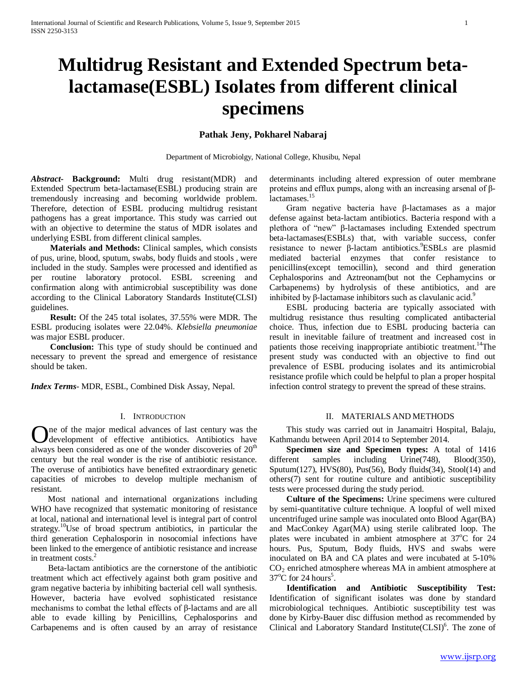# **Multidrug Resistant and Extended Spectrum betalactamase(ESBL) Isolates from different clinical specimens**

# **Pathak Jeny, Pokharel Nabaraj**

Department of Microbiolgy, National College, Khusibu, Nepal

*Abstract***- Background:** Multi drug resistant(MDR) and Extended Spectrum beta-lactamase(ESBL) producing strain are tremendously increasing and becoming worldwide problem. Therefore, detection of ESBL producing multidrug resistant pathogens has a great importance. This study was carried out with an objective to determine the status of MDR isolates and underlying ESBL from different clinical samples.

 **Materials and Methods:** Clinical samples, which consists of pus, urine, blood, sputum, swabs, body fluids and stools , were included in the study. Samples were processed and identified as per routine laboratory protocol. ESBL screening and confirmation along with antimicrobial susceptibility was done according to the Clinical Laboratory Standards Institute(CLSI) guidelines.

 **Result:** Of the 245 total isolates, 37.55% were MDR. The ESBL producing isolates were 22.04%. *Klebsiella pneumoniae* was major ESBL producer.

 **Conclusion:** This type of study should be continued and necessary to prevent the spread and emergence of resistance should be taken.

*Index Terms*- MDR, ESBL, Combined Disk Assay, Nepal.

## I. INTRODUCTION

**O**ne of the major medical advances of last century was the development of effective antibiotics. Antibiotics have development of effective antibiotics. Antibiotics have always been considered as one of the wonder discoveries of 20<sup>th</sup> century but the real wonder is the rise of antibiotic resistance. The overuse of antibiotics have benefited extraordinary genetic capacities of microbes to develop multiple mechanism of resistant.

 Most national and international organizations including WHO have recognized that systematic monitoring of resistance at local, national and international level is integral part of control strategy.<sup>10</sup>Use of broad spectrum antibiotics, in particular the third generation Cephalosporin in nosocomial infections have been linked to the emergence of antibiotic resistance and increase in treatment costs.<sup>2</sup>

 Beta-lactam antibiotics are the cornerstone of the antibiotic treatment which act effectively against both gram positive and gram negative bacteria by inhibiting bacterial cell wall synthesis. However, bacteria have evolved sophisticated resistance mechanisms to combat the lethal effects of β-lactams and are all able to evade killing by Penicillins, Cephalosporins and Carbapenems and is often caused by an array of resistance determinants including altered expression of outer membrane proteins and efflux pumps, along with an increasing arsenal of βlactamases.<sup>15</sup>

 Gram negative bacteria have β-lactamases as a major defense against beta-lactam antibiotics. Bacteria respond with a plethora of "new" β-lactamases including Extended spectrum beta-lactamases(ESBLs) that, with variable success, confer resistance to newer β-lactam antibiotics. ESBLs are plasmid mediated bacterial enzymes that confer resistance to penicillins(except temocillin), second and third generation Cephalosporins and Aztreonam(but not the Cephamycins or Carbapenems) by hydrolysis of these antibiotics, and are inhibited by  $\beta$ -lactamase inhibitors such as clavulanic acid.<sup>9</sup>

 ESBL producing bacteria are typically associated with multidrug resistance thus resulting complicated antibacterial choice. Thus, infection due to ESBL producing bacteria can result in inevitable failure of treatment and increased cost in patients those receiving inappropriate antibiotic treatment.<sup>14</sup>The present study was conducted with an objective to find out prevalence of ESBL producing isolates and its antimicrobial resistance profile which could be helpful to plan a proper hospital infection control strategy to prevent the spread of these strains.

# II. MATERIALS AND METHODS

 This study was carried out in Janamaitri Hospital, Balaju, Kathmandu between April 2014 to September 2014.

 **Specimen size and Specimen types:** A total of 1416 different samples including Urine(748), Blood(350), Sputum(127), HVS(80), Pus(56), Body fluids(34), Stool(14) and others(7) sent for routine culture and antibiotic susceptibility tests were processed during the study period.

 **Culture of the Specimens:** Urine specimens were cultured by semi-quantitative culture technique. A loopful of well mixed uncentrifuged urine sample was inoculated onto Blood Agar(BA) and MacConkey Agar(MA) using sterile calibrated loop. The plates were incubated in ambient atmosphere at 37°C for 24 hours. Pus, Sputum, Body fluids, HVS and swabs were inoculated on BA and CA plates and were incubated at 5-10% CO2 enriched atmosphere whereas MA in ambient atmosphere at  $37^{\circ}$ C for 24 hours<sup>5</sup>.

 **Identification and Antibiotic Susceptibility Test:**  Identification of significant isolates was done by standard microbiological techniques. Antibiotic susceptibility test was done by Kirby-Bauer disc diffusion method as recommended by Clinical and Laboratory Standard Institute(CLSI)<sup>6</sup>. The zone of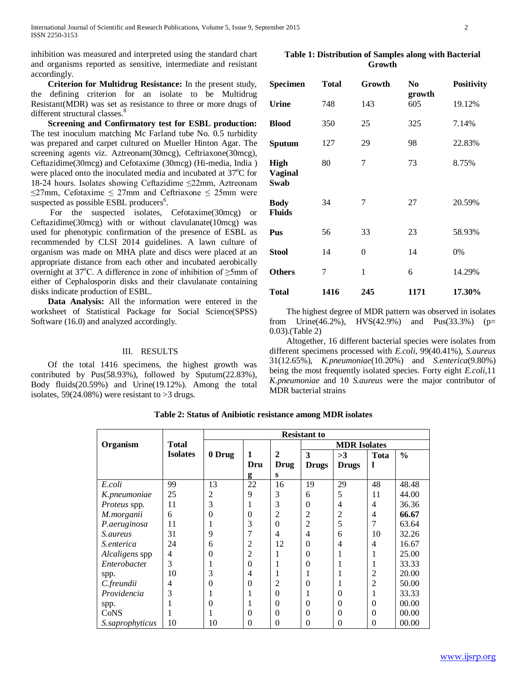inhibition was measured and interpreted using the standard chart and organisms reported as sensitive, intermediate and resistant accordingly.

 **Criterion for Multidrug Resistance:** In the present study, the defining criterion for an isolate to be Multidrug Resistant(MDR) was set as resistance to three or more drugs of different structural classes.<sup>8</sup>

 **Screening and Confirmatory test for ESBL production:** The test inoculum matching Mc Farland tube No. 0.5 turbidity was prepared and carpet cultured on Mueller Hinton Agar. The screening agents viz. Aztreonam(30mcg), Ceftriaxone(30mcg), Ceftazidime(30mcg) and Cefotaxime (30mcg) (Hi-media, India ) were placed onto the inoculated media and incubated at 37°C for 18-24 hours. Isolates showing Ceftazidime ≤22mm, Aztreonam  $\leq$ 27mm, Cefotaxime  $\leq$  27mm and Ceftriaxone  $\leq$  25mm were suspected as possible ESBL producers<sup>6</sup>.

 For the suspected isolates, Cefotaxime(30mcg) or Ceftazidime(30mcg) with or without clavulanate(10mcg) was used for phenotypic confirmation of the presence of ESBL as recommended by CLSI 2014 guidelines. A lawn culture of organism was made on MHA plate and discs were placed at an appropriate distance from each other and incubated aerobically overnight at 37°C. A difference in zone of inhibition of  $\geq$ 5mm of either of Cephalosporin disks and their clavulanate containing disks indicate production of ESBL.

 **Data Analysis:** All the information were entered in the worksheet of Statistical Package for Social Science(SPSS) Software (16.0) and analyzed accordingly.

## III. RESULTS

 Of the total 1416 specimens, the highest growth was contributed by Pus(58.93%), followed by Sputum(22.83%), Body fluids(20.59%) and Urine(19.12%). Among the total isolates,  $59(24.08\%)$  were resistant to  $>3$  drugs.

**Table 1: Distribution of Samples along with Bacterial Growth**

| <b>Specimen</b>                       | <b>Total</b> | Growth   | N <sub>0</sub> | Positivity |
|---------------------------------------|--------------|----------|----------------|------------|
| <b>Urine</b>                          | 748          | 143      | growth<br>605  | 19.12%     |
| <b>Blood</b>                          | 350          | 25       | 325            | 7.14%      |
| Sputum                                | 127          | 29       | 98             | 22.83%     |
| <b>High</b><br><b>Vaginal</b><br>Swab | 80           | 7        | 73             | 8.75%      |
| <b>Body</b><br><b>Fluids</b>          | 34           | 7        | 27             | 20.59%     |
| Pus                                   | 56           | 33       | 23             | 58.93%     |
| <b>Stool</b>                          | 14           | $\theta$ | 14             | 0%         |
| <b>Others</b>                         | 7            | 1        | 6              | 14.29%     |
| Total                                 | 1416         | 245      | 1171           | 17.30%     |

 The highest degree of MDR pattern was observed in isolates from Urine(46.2%), HVS(42.9%) and Pus(33.3%) ( $p=$ 0.03).(Table 2)

 Altogether, 16 different bacterial species were isolates from different specimens processed with *E.coli*, 99(40.41%), *S.aureus* 31(12.65%), *K.pneumoniae*(10.20%) and *S.enterica*(9.80%) being the most frequently isolated species. Forty eight *E.coli*,11 *K.pneumoniae* and 10 *S.aureus* were the major contributor of MDR bacterial strains

**Table 2: Status of Anibiotic resistance among MDR isolates**

|                        |                 | <b>Resistant to</b> |                |                |                     |              |                |               |
|------------------------|-----------------|---------------------|----------------|----------------|---------------------|--------------|----------------|---------------|
| Organism               | <b>Total</b>    |                     |                |                | <b>MDR</b> Isolates |              |                |               |
|                        | <b>Isolates</b> | 0 Drug              | $\mathbf{1}$   | $\overline{2}$ | 3                   | >3           | Tota           | $\frac{0}{0}$ |
|                        |                 |                     | Dru            | <b>Drug</b>    | <b>Drugs</b>        | <b>Drugs</b> | 1              |               |
|                        |                 |                     | g              | S              |                     |              |                |               |
| E.coli                 | 99              | 13                  | 22             | 16             | 19                  | 29           | 48             | 48.48         |
| K.pneumoniae           | 25              | 2                   | 9              | 3              | 6                   | 5            | 11             | 44.00         |
| Proteus spp.           | 11              | 3                   | 1              | 3              | $\Omega$            | 4            | 4              | 36.36         |
| M.morganii             | 6               | $\theta$            | $\overline{0}$ | $\overline{2}$ | $\overline{2}$      | 2            | $\overline{4}$ | 66.67         |
| P.aeruginosa           | 11              | 1                   | 3              | $\theta$       | 2                   | 5            | 7              | 63.64         |
| <i>S.aureus</i>        | 31              | 9                   | 7              | 4              | $\overline{4}$      | 6            | 10             | 32.26         |
| <i>S.enterica</i>      | 24              | 6                   | 2              | 12             | $\Omega$            | 4            | 4              | 16.67         |
| Alcaligens spp         | 4               | $\theta$            | 2              |                | $\Omega$            |              | 1              | 25.00         |
| Enterobacter           | 3               |                     | $\theta$       |                | $\Omega$            |              | 1              | 33.33         |
| spp.                   | 10              | 3                   | $\overline{4}$ |                |                     |              | $\overline{c}$ | 20.00         |
| C.freundii             | 4               | $\theta$            | $\overline{0}$ | 2              | 0                   |              | $\overline{2}$ | 50.00         |
| Providencia            | 3               |                     | 1              | $\theta$       |                     | $\Omega$     | 1              | 33.33         |
| spp.                   |                 | 0                   | 1              | $\overline{0}$ | $\Omega$            | $\Omega$     | $\overline{0}$ | 00.00         |
| CoNS                   |                 |                     | $\theta$       | $\theta$       | $\Omega$            | $\Omega$     | $\theta$       | 00.00         |
| <i>S.saprophyticus</i> | 10              | 10                  | $\theta$       | $\overline{0}$ | $\Omega$            | $\theta$     | $\theta$       | 00.00         |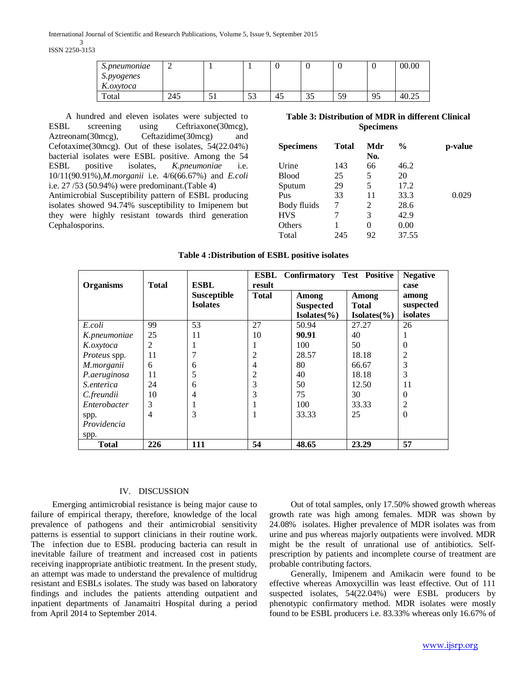International Journal of Scientific and Research Publications, Volume 5, Issue 9, September 2015 3 ISSN 2250-3153

| S.pneumoniae |     |     |                                |    |    |    |           | 00.00 |
|--------------|-----|-----|--------------------------------|----|----|----|-----------|-------|
| S.pyogenes   |     |     |                                |    |    |    |           |       |
| K.oxytoca    |     |     |                                |    |    |    |           |       |
| Total        | 245 | ر ر | $\overline{\phantom{a}}$<br>IJ | 45 | 35 | 59 | Q٤<br>7.J | 40.2  |

 A hundred and eleven isolates were subjected to ESBL screening using Ceftriaxone(30mcg), Aztreonam(30mcg), Ceftazidime(30mcg) and Cefotaxime(30mcg). Out of these isolates, 54(22.04%) bacterial isolates were ESBL positive. Among the 54 ESBL positive isolates, *K.pneumoniae* i.e. 10/11(90.91%),*M.morganii* i.e. 4/6(66.67%) and *E.coli* i.e. 27 /53 (50.94%) were predominant.(Table 4)

Antimicrobial Susceptibility pattern of ESBL producing isolates showed 94.74% susceptibility to Imipenem but they were highly resistant towards third generation Cephalosporins.

# **Table 3: Distribution of MDR in different Clinical Specimens**

| <b>Specimens</b> | Total | Mdr<br>No. | %     | p-value |
|------------------|-------|------------|-------|---------|
| Urine            | 143   | 66         | 46.2  |         |
| <b>Blood</b>     | 25    | 5          | 20    |         |
| Sputum           | 29    | 5          | 17.2  |         |
| Pus              | 33    | 11         | 33.3  | 0.029   |
| Body fluids      | 7     | 2          | 28.6  |         |
| <b>HVS</b>       |       | 3          | 42.9  |         |
| Others           |       | $\theta$   | 0.00  |         |
| Total            | 245   | 92         | 37.55 |         |

|  | Table 4: Distribution of ESBL positive isolates |  |  |  |
|--|-------------------------------------------------|--|--|--|
|--|-------------------------------------------------|--|--|--|

|                  |              |                 | <b>ESBL</b>  | <b>Confirmatory Test Positive</b> |                 | <b>Negative</b> |
|------------------|--------------|-----------------|--------------|-----------------------------------|-----------------|-----------------|
| <b>Organisms</b> | <b>Total</b> | <b>ESBL</b>     | result       |                                   |                 | case            |
|                  |              | Susceptible     | <b>Total</b> | Among                             | Among           | among           |
|                  |              | <b>Isolates</b> |              | <b>Suspected</b>                  | <b>Total</b>    | suspected       |
|                  |              |                 |              | $Isolates(\% )$                   | $Isolates(\% )$ | isolates        |
| E.coli           | 99           | 53              | 27           | 50.94                             | 27.27           | 26              |
| K.pneumoniae     | 25           | 11              | 10           | 90.91                             | 40              |                 |
| K.oxytoca        | 2            |                 |              | 100                               | 50              | 0               |
| Proteus spp.     | 11           |                 | 2            | 28.57                             | 18.18           | 2               |
| M.morganii       | 6            | 6               | 4            | 80                                | 66.67           | 3               |
| P.aeruginosa     | 11           | 5               | 2            | 40                                | 18.18           | 3               |
| S.enterica       | 24           | 6               | 3            | 50                                | 12.50           | 11              |
| C.freundii       | 10           | 4               | 3            | 75                                | 30              | $\Omega$        |
| Enterobacter     | 3            |                 |              | 100                               | 33.33           | 2               |
| spp.             | 4            | 3               |              | 33.33                             | 25              | $\theta$        |
| Providencia      |              |                 |              |                                   |                 |                 |
| spp.             |              |                 |              |                                   |                 |                 |
| <b>Total</b>     | 226          | 111             | 54           | 48.65                             | 23.29           | 57              |

### IV. DISCUSSION

 Emerging antimicrobial resistance is being major cause to failure of empirical therapy, therefore, knowledge of the local prevalence of pathogens and their antimicrobial sensitivity patterns is essential to support clinicians in their routine work. The infection due to ESBL producing bacteria can result in inevitable failure of treatment and increased cost in patients receiving inappropriate antibiotic treatment. In the present study, an attempt was made to understand the prevalence of multidrug resistant and ESBLs isolates. The study was based on laboratory findings and includes the patients attending outpatient and inpatient departments of Janamaitri Hospital during a period from April 2014 to September 2014.

 Out of total samples, only 17.50% showed growth whereas growth rate was high among females. MDR was shown by 24.08% isolates. Higher prevalence of MDR isolates was from urine and pus whereas majorly outpatients were involved. MDR might be the result of unrational use of antibiotics. Selfprescription by patients and incomplete course of treatment are probable contributing factors.

 Generally, Imipenem and Amikacin were found to be effective whereas Amoxycillin was least effective. Out of 111 suspected isolates, 54(22.04%) were ESBL producers by phenotypic confirmatory method. MDR isolates were mostly found to be ESBL producers i.e. 83.33% whereas only 16.67% of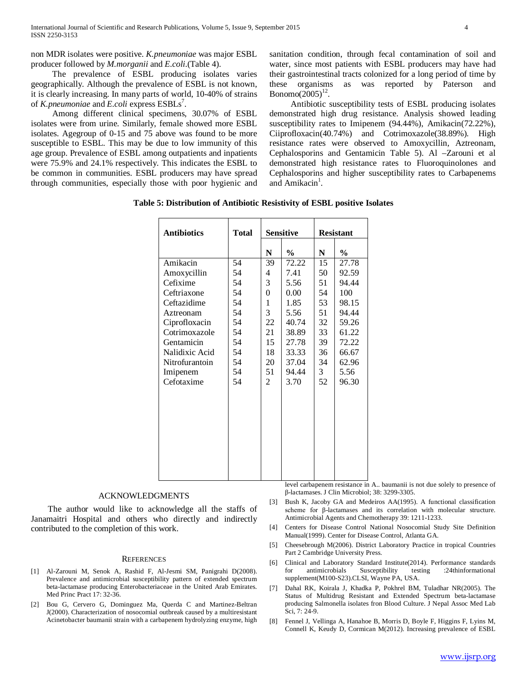non MDR isolates were positive. *K.pneumoniae* was major ESBL producer followed by *M.morganii* and *E.coli*.(Table 4).

 The prevalence of ESBL producing isolates varies geographically. Although the prevalence of ESBL is not known, it is clearly increasing. In many parts of world, 10-40% of strains of *K.pneumoniae* and *E.coli* express ESBLs<sup>7</sup>.

 Among different clinical specimens, 30.07% of ESBL isolates were from urine. Similarly, female showed more ESBL isolates. Agegroup of 0-15 and 75 above was found to be more susceptible to ESBL. This may be due to low immunity of this age group. Prevalence of ESBL among outpatients and inpatients were 75.9% and 24.1% respectively. This indicates the ESBL to be common in communities. ESBL producers may have spread through communities, especially those with poor hygienic and sanitation condition, through fecal contamination of soil and water, since most patients with ESBL producers may have had their gastrointestinal tracts colonized for a long period of time by these organisms as was reported by Paterson and Bonomo $(2005)^{12}$ .

 Antibiotic susceptibility tests of ESBL producing isolates demonstrated high drug resistance. Analysis showed leading susceptibility rates to Imipenem (94.44%), Amikacin(72.22%), Ciiprofloxacin(40.74%) and Cotrimoxazole(38.89%). High resistance rates were observed to Amoxycillin, Aztreonam, Cephalosporins and Gentamicin Table 5). Al –Zarouni et al demonstrated high resistance rates to Fluoroquinolones and Cephalosporins and higher susceptibility rates to Carbapenems and Amikacin<sup>1</sup>.

**Table 5: Distribution of Antibiotic Resistivity of ESBL positive Isolates**

| <b>Antibiotics</b> | <b>Total</b> | Sensitive   |               | <b>Resistant</b> |               |
|--------------------|--------------|-------------|---------------|------------------|---------------|
|                    |              | N           | $\frac{0}{0}$ | N                | $\frac{0}{0}$ |
| Amikacin           | 54           | 39          | 72.22         | 15               | 27.78         |
| Amoxycillin        | 54           | 4           | 7.41          | 50               | 92.59         |
| Cefixime           | 54           | 3           | 5.56          | 51               | 94.44         |
| Ceftriaxone        | 54           | 0           | 0.00          | 54               | 100           |
| Ceftazidime        | 54           | $\mathbf 1$ | 1.85          | 53               | 98.15         |
| Aztreonam          | 54           | 3           | 5.56          | 51               | 94.44         |
| Ciprofloxacin      | 54           | 22          | 40.74         | 32               | 59.26         |
| Cotrimoxazole      | 54           | 21          | 38.89         | 33               | 61.22         |
| Gentamicin         | 54           | 15          | 27.78         | 39               | 72.22         |
| Nalidixic Acid     | 54           | 18          | 33.33         | 36               | 66.67         |
| Nitrofurantoin     | 54           | 20          | 37.04         | 34               | 62.96         |
| Imipenem           | 54           | 51          | 94.44         | 3                | 5.56          |
| Cefotaxime         | 54           | 2           | 3.70          | 52               | 96.30         |
|                    |              |             |               |                  |               |
|                    |              |             |               |                  |               |
|                    |              |             |               |                  |               |
|                    |              |             |               |                  |               |
|                    |              |             |               |                  |               |
|                    |              |             |               |                  |               |

#### ACKNOWLEDGMENTS

 The author would like to acknowledge all the staffs of Janamaitri Hospital and others who directly and indirectly contributed to the completion of this work.

#### **REFERENCES**

- [1] Al-Zarouni M, Senok A, Rashid F, Al-Jesmi SM, Panigrahi D(2008). Prevalence and antimicrobial susceptibility pattern of extended spectrum beta-lactamase producing Enterobacteriaceae in the United Arab Emirates. Med Princ Pract 17: 32-36.
- [2] Bou G, Cervero G, Dominguez Ma, Querda C and Martinez-Beltran J(2000). Characterization of nosocomial outbreak caused by a multiresistant Acinetobacter baumanii strain with a carbapenem hydrolyzing enzyme, high

level carbapenem resistance in A.. baumanii is not due solely to presence of β-lactamases. J Clin Microbiol; 38: 3299-3305.

- [3] Bush K, Jacoby GA and Medeiros AA(1995). A functional classification scheme for β-lactamases and its correlation with molecular structure. Antimicrobial Agents and Chemotherapy 39: 1211-1233.
- [4] Centers for Disease Control National Nosocomial Study Site Definition Manual(1999). Center for Disease Control, Atlanta GA.
- [5] Cheesebrough M(2006). District Laboratory Practice in tropical Countries Part 2 Cambridge University Press.
- [6] Clinical and Laboratory Standard Institute(2014). Performance standards for antimicrobials Susceptibility testing :24thinformational supplement(M100-S23).CLSI, Wayne PA, USA.
- [7] Dahal RK, Koirala J, Khadka P, Pokhrel BM, Tuladhar NR(2005). The Status of Multidrug Resistant and Extended Spectrum beta-lactamase producing Salmonella isolates fron Blood Culture. J Nepal Assoc Med Lab Sci, 7: 24-9.
- [8] Fennel J, Vellinga A, Hanahoe B, Morris D, Boyle F, Higgins F, Lyins M, Connell K, Keudy D, Cormican M(2012). Increasing prevalence of ESBL